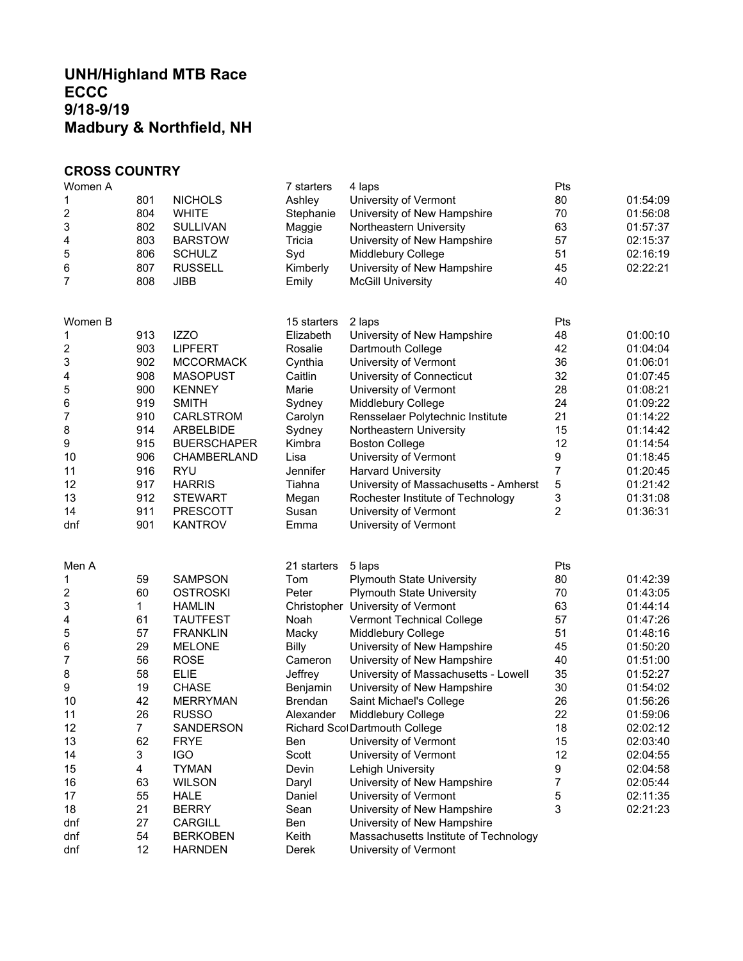## **UNH/Highland MTB Race ECCC 9/18-9/19 Madbury & Northfield, NH**

## **CROSS COUNTRY**

| Women A |     |                    | 7 starters     | 4 laps                                | Pts |          |
|---------|-----|--------------------|----------------|---------------------------------------|-----|----------|
| 1       | 801 | <b>NICHOLS</b>     | Ashley         | University of Vermont                 | 80  | 01:54:09 |
| 2       | 804 | <b>WHITE</b>       | Stephanie      | University of New Hampshire           | 70  | 01:56:08 |
| 3       | 802 | <b>SULLIVAN</b>    | Maggie         | Northeastern University               | 63  | 01:57:37 |
| 4       | 803 | <b>BARSTOW</b>     | Tricia         | University of New Hampshire           | 57  | 02:15:37 |
| 5       | 806 | <b>SCHULZ</b>      | Syd            | Middlebury College                    | 51  | 02:16:19 |
| 6       | 807 | <b>RUSSELL</b>     | Kimberly       | University of New Hampshire           | 45  | 02:22:21 |
| 7       | 808 | <b>JIBB</b>        | Emily          | <b>McGill University</b>              | 40  |          |
| Women B |     |                    | 15 starters    | 2 laps                                | Pts |          |
| 1       | 913 | <b>IZZO</b>        | Elizabeth      | University of New Hampshire           | 48  | 01:00:10 |
| 2       | 903 | <b>LIPFERT</b>     | Rosalie        | Dartmouth College                     | 42  | 01:04:04 |
| 3       | 902 | <b>MCCORMACK</b>   | Cynthia        | University of Vermont                 | 36  | 01:06:01 |
| 4       | 908 | <b>MASOPUST</b>    | Caitlin        | University of Connecticut             | 32  | 01:07:45 |
| 5       | 900 | <b>KENNEY</b>      | Marie          | University of Vermont                 | 28  | 01:08:21 |
| 6       | 919 | <b>SMITH</b>       | Sydney         | Middlebury College                    | 24  | 01:09:22 |
| 7       | 910 | CARLSTROM          | Carolyn        | Rensselaer Polytechnic Institute      | 21  | 01:14:22 |
| 8       | 914 | ARBELBIDE          | Sydney         | Northeastern University               | 15  | 01:14:42 |
| 9       | 915 | <b>BUERSCHAPER</b> | Kimbra         | <b>Boston College</b>                 | 12  | 01:14:54 |
| 10      | 906 | CHAMBERLAND        | Lisa           | University of Vermont                 | 9   | 01:18:45 |
| 11      | 916 | <b>RYU</b>         | Jennifer       | <b>Harvard University</b>             | 7   | 01:20:45 |
| 12      | 917 | <b>HARRIS</b>      | Tiahna         | University of Massachusetts - Amherst | 5   | 01:21:42 |
| 13      | 912 | <b>STEWART</b>     | Megan          | Rochester Institute of Technology     | 3   | 01:31:08 |
| 14      | 911 | <b>PRESCOTT</b>    | Susan          | University of Vermont                 | 2   | 01:36:31 |
| dnf     | 901 | <b>KANTROV</b>     | Emma           | University of Vermont                 |     |          |
| Men A   |     |                    | 21 starters    | 5 laps                                | Pts |          |
| 1       | 59  | <b>SAMPSON</b>     | Tom            | <b>Plymouth State University</b>      | 80  | 01:42:39 |
| 2       | 60  | <b>OSTROSKI</b>    | Peter          | <b>Plymouth State University</b>      | 70  | 01:43:05 |
| 3       | 1   | <b>HAMLIN</b>      |                | Christopher University of Vermont     | 63  | 01:44:14 |
| 4       | 61  | <b>TAUTFEST</b>    | Noah           | Vermont Technical College             | 57  | 01:47:26 |
| 5       | 57  | <b>FRANKLIN</b>    | Macky          | Middlebury College                    | 51  | 01:48:16 |
| 6       | 29  | <b>MELONE</b>      | <b>Billy</b>   | University of New Hampshire           | 45  | 01:50:20 |
| 7       | 56  | <b>ROSE</b>        | Cameron        | University of New Hampshire           | 40  | 01:51:00 |
| 8       | 58  | <b>ELIE</b>        | Jeffrey        | University of Massachusetts - Lowell  | 35  | 01:52:27 |
| 9       | 19  | <b>CHASE</b>       | Benjamin       | University of New Hampshire           | 30  | 01:54:02 |
| 10      | 42  | <b>MERRYMAN</b>    | <b>Brendan</b> | Saint Michael's College               | 26  | 01:56:26 |
| 11      | 26  | <b>RUSSO</b>       | Alexander      | Middlebury College                    | 22  | 01:59:06 |
| 12      | 7   | SANDERSON          |                | Richard Scol Dartmouth College        | 18  | 02:02:12 |
| 13      | 62  | <b>FRYE</b>        | Ben            | University of Vermont                 | 15  | 02:03:40 |
| 14      | 3   | <b>IGO</b>         | Scott          | University of Vermont                 | 12  | 02:04:55 |
| 15      | 4   | <b>TYMAN</b>       | Devin          | Lehigh University                     | 9   | 02:04:58 |
| 16      | 63  | <b>WILSON</b>      | Daryl          | University of New Hampshire           | 7   | 02:05:44 |
| 17      | 55  | <b>HALE</b>        | Daniel         | University of Vermont                 | 5   | 02:11:35 |
| 18      | 21  | <b>BERRY</b>       | Sean           | University of New Hampshire           | 3   | 02:21:23 |
| dnf     | 27  | CARGILL            | Ben            | University of New Hampshire           |     |          |
| dnf     | 54  | <b>BERKOBEN</b>    | Keith          | Massachusetts Institute of Technology |     |          |
| dnf     | 12  | <b>HARNDEN</b>     | Derek          | University of Vermont                 |     |          |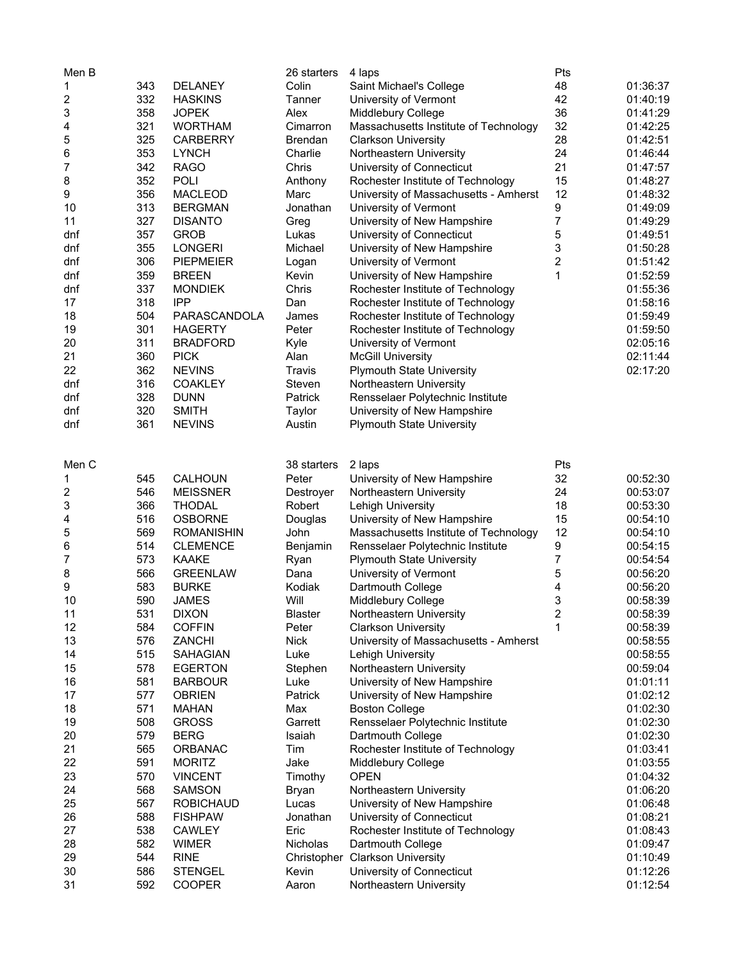| Men B |     |                   | 26 starters     | 4 laps                                | Pts |          |
|-------|-----|-------------------|-----------------|---------------------------------------|-----|----------|
| 1     | 343 | <b>DELANEY</b>    | Colin           | Saint Michael's College               | 48  | 01:36:37 |
| 2     | 332 | <b>HASKINS</b>    | Tanner          | University of Vermont                 | 42  | 01:40:19 |
| 3     | 358 | <b>JOPEK</b>      | Alex            | Middlebury College                    | 36  | 01:41:29 |
| 4     | 321 | <b>WORTHAM</b>    | Cimarron        | Massachusetts Institute of Technology | 32  | 01:42:25 |
| 5     | 325 | <b>CARBERRY</b>   | <b>Brendan</b>  | <b>Clarkson University</b>            | 28  | 01:42:51 |
| 6     | 353 | <b>LYNCH</b>      | Charlie         | Northeastern University               | 24  | 01:46:44 |
| 7     | 342 | <b>RAGO</b>       | Chris           | University of Connecticut             | 21  | 01:47:57 |
| 8     | 352 | <b>POLI</b>       | Anthony         | Rochester Institute of Technology     | 15  | 01:48:27 |
| 9     | 356 | <b>MACLEOD</b>    | Marc            | University of Massachusetts - Amherst | 12  | 01:48:32 |
| 10    | 313 | <b>BERGMAN</b>    | Jonathan        | University of Vermont                 | 9   | 01:49:09 |
| 11    | 327 | <b>DISANTO</b>    | Greg            | University of New Hampshire           | 7   | 01:49:29 |
| dnf   | 357 | <b>GROB</b>       | Lukas           | University of Connecticut             | 5   | 01:49:51 |
| dnf   | 355 | <b>LONGERI</b>    | Michael         | University of New Hampshire           | 3   | 01:50:28 |
|       |     |                   |                 |                                       |     |          |
| dnf   | 306 | <b>PIEPMEIER</b>  | Logan           | University of Vermont                 | 2   | 01:51:42 |
| dnf   | 359 | <b>BREEN</b>      | Kevin           | University of New Hampshire           | 1   | 01:52:59 |
| dnf   | 337 | <b>MONDIEK</b>    | Chris           | Rochester Institute of Technology     |     | 01:55:36 |
| 17    | 318 | <b>IPP</b>        | Dan             | Rochester Institute of Technology     |     | 01:58:16 |
| 18    | 504 | PARASCANDOLA      | James           | Rochester Institute of Technology     |     | 01:59:49 |
| 19    | 301 | <b>HAGERTY</b>    | Peter           | Rochester Institute of Technology     |     | 01:59:50 |
| 20    | 311 | <b>BRADFORD</b>   | Kyle            | University of Vermont                 |     | 02:05:16 |
| 21    | 360 | <b>PICK</b>       | Alan            | <b>McGill University</b>              |     | 02:11:44 |
| 22    | 362 | <b>NEVINS</b>     | Travis          | <b>Plymouth State University</b>      |     | 02:17:20 |
| dnf   | 316 | <b>COAKLEY</b>    | Steven          | Northeastern University               |     |          |
| dnf   | 328 | <b>DUNN</b>       | Patrick         | Rensselaer Polytechnic Institute      |     |          |
| dnf   | 320 | <b>SMITH</b>      | Taylor          | University of New Hampshire           |     |          |
| dnf   | 361 | <b>NEVINS</b>     | Austin          | <b>Plymouth State University</b>      |     |          |
|       |     |                   |                 |                                       |     |          |
| Men C |     |                   | 38 starters     | 2 laps                                | Pts |          |
| 1     | 545 | <b>CALHOUN</b>    | Peter           | University of New Hampshire           | 32  | 00:52:30 |
| 2     | 546 | <b>MEISSNER</b>   | Destroyer       | Northeastern University               | 24  | 00:53:07 |
| 3     | 366 | <b>THODAL</b>     | Robert          | Lehigh University                     | 18  | 00:53:30 |
| 4     | 516 | <b>OSBORNE</b>    | Douglas         | University of New Hampshire           | 15  | 00:54:10 |
| 5     | 569 | <b>ROMANISHIN</b> | John            | Massachusetts Institute of Technology | 12  | 00:54:10 |
| 6     | 514 | <b>CLEMENCE</b>   | Benjamin        | Rensselaer Polytechnic Institute      | 9   | 00:54:15 |
| 7     | 573 | <b>KAAKE</b>      | Ryan            | <b>Plymouth State University</b>      | 7   | 00:54:54 |
| 8     | 566 | <b>GREENLAW</b>   | Dana            | University of Vermont                 | 5   | 00:56:20 |
| 9     | 583 | <b>BURKE</b>      | Kodiak          | Dartmouth College                     | 4   | 00:56:20 |
| 10    | 590 | <b>JAMES</b>      | Will            | Middlebury College                    | 3   | 00:58:39 |
| 11    | 531 | <b>DIXON</b>      | <b>Blaster</b>  | Northeastern University               | 2   | 00:58:39 |
| 12    | 584 | <b>COFFIN</b>     | Peter           | <b>Clarkson University</b>            | 1   | 00:58:39 |
| 13    | 576 | ZANCHI            | <b>Nick</b>     | University of Massachusetts - Amherst |     | 00:58:55 |
| 14    | 515 | SAHAGIAN          | Luke            | Lehigh University                     |     | 00:58:55 |
| 15    | 578 | <b>EGERTON</b>    | Stephen         | Northeastern University               |     | 00:59:04 |
| 16    | 581 | <b>BARBOUR</b>    | Luke            | University of New Hampshire           |     | 01:01:11 |
| 17    | 577 | <b>OBRIEN</b>     | Patrick         | University of New Hampshire           |     | 01:02:12 |
| 18    | 571 |                   |                 |                                       |     | 01:02:30 |
|       |     | <b>MAHAN</b>      | Max             | <b>Boston College</b>                 |     |          |
| 19    | 508 | <b>GROSS</b>      | Garrett         | Rensselaer Polytechnic Institute      |     | 01:02:30 |
| 20    | 579 | <b>BERG</b>       | Isaiah          | Dartmouth College                     |     | 01:02:30 |
| 21    | 565 | <b>ORBANAC</b>    | Tim             | Rochester Institute of Technology     |     | 01:03:41 |
| 22    | 591 | <b>MORITZ</b>     | Jake            | Middlebury College                    |     | 01:03:55 |
| 23    | 570 | <b>VINCENT</b>    | Timothy         | <b>OPEN</b>                           |     | 01:04:32 |
| 24    | 568 | <b>SAMSON</b>     | <b>Bryan</b>    | Northeastern University               |     | 01:06:20 |
| 25    | 567 | <b>ROBICHAUD</b>  | Lucas           | University of New Hampshire           |     | 01:06:48 |
| 26    | 588 | <b>FISHPAW</b>    | Jonathan        | University of Connecticut             |     | 01:08:21 |
| 27    | 538 | <b>CAWLEY</b>     | Eric            | Rochester Institute of Technology     |     | 01:08:43 |
| 28    | 582 | <b>WIMER</b>      | <b>Nicholas</b> | Dartmouth College                     |     | 01:09:47 |
| 29    | 544 | <b>RINE</b>       |                 | Christopher Clarkson University       |     | 01:10:49 |
| 30    | 586 | <b>STENGEL</b>    | Kevin           | University of Connecticut             |     | 01:12:26 |
| 31    | 592 | <b>COOPER</b>     | Aaron           | Northeastern University               |     | 01:12:54 |
|       |     |                   |                 |                                       |     |          |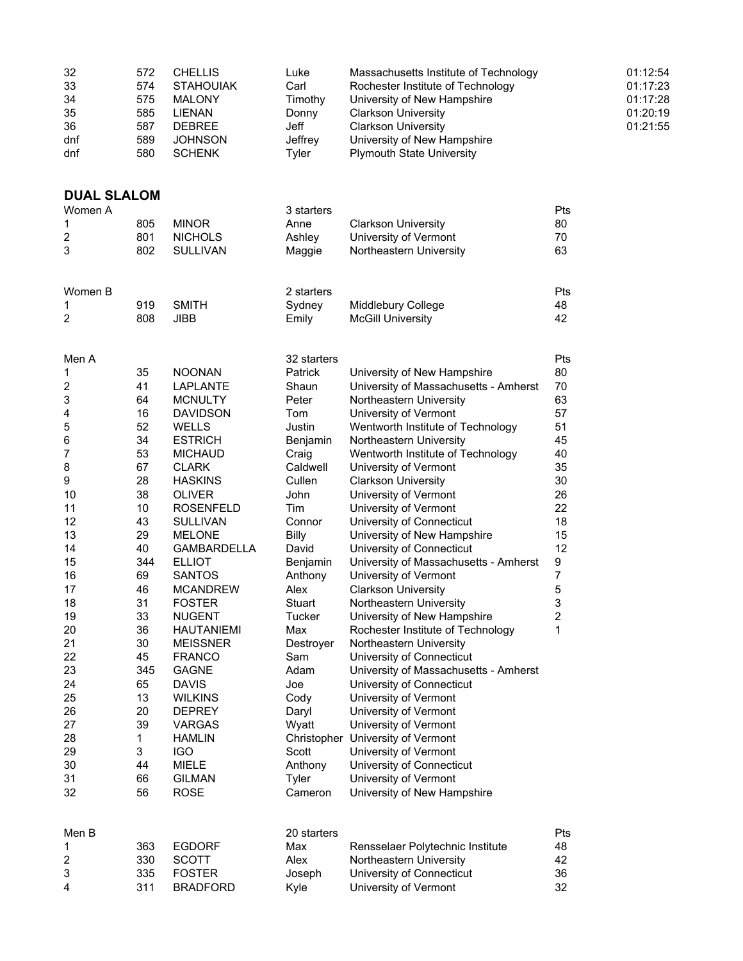| 32<br>33<br>34<br>35<br>36<br>dnf<br>dnf | 572<br>574<br>575<br>585<br>587<br>589<br>580 | <b>CHELLIS</b><br><b>STAHOUIAK</b><br><b>MALONY</b><br><b>LIENAN</b><br><b>DEBREE</b><br><b>JOHNSON</b><br><b>SCHENK</b> | Luke<br>Carl<br>Timothy<br>Donny<br>Jeff<br>Jeffrey<br>Tyler | Massachusetts Institute of Technology<br>Rochester Institute of Technology<br>University of New Hampshire<br><b>Clarkson University</b><br><b>Clarkson University</b><br>University of New Hampshire<br><b>Plymouth State University</b> |                                    | 01:12:54<br>01:17:23<br>01:17:28<br>01:20:19<br>01:21:55 |
|------------------------------------------|-----------------------------------------------|--------------------------------------------------------------------------------------------------------------------------|--------------------------------------------------------------|------------------------------------------------------------------------------------------------------------------------------------------------------------------------------------------------------------------------------------------|------------------------------------|----------------------------------------------------------|
| <b>DUAL SLALOM</b>                       |                                               |                                                                                                                          |                                                              |                                                                                                                                                                                                                                          |                                    |                                                          |
| Women A                                  |                                               |                                                                                                                          | 3 starters                                                   |                                                                                                                                                                                                                                          | Pts                                |                                                          |
| 1<br>$\boldsymbol{2}$                    | 805<br>801                                    | <b>MINOR</b><br><b>NICHOLS</b>                                                                                           | Anne<br>Ashley                                               | <b>Clarkson University</b><br>University of Vermont                                                                                                                                                                                      | 80<br>70                           |                                                          |
| 3                                        | 802                                           | SULLIVAN                                                                                                                 | Maggie                                                       | Northeastern University                                                                                                                                                                                                                  | 63                                 |                                                          |
| Women B                                  |                                               |                                                                                                                          | 2 starters                                                   |                                                                                                                                                                                                                                          | Pts                                |                                                          |
| 1                                        | 919                                           | <b>SMITH</b>                                                                                                             | Sydney                                                       | Middlebury College                                                                                                                                                                                                                       | 48                                 |                                                          |
| $\overline{2}$                           | 808                                           | <b>JIBB</b>                                                                                                              | Emily                                                        | <b>McGill University</b>                                                                                                                                                                                                                 | 42                                 |                                                          |
| Men A                                    |                                               |                                                                                                                          | 32 starters                                                  |                                                                                                                                                                                                                                          | Pts                                |                                                          |
| 1<br>$\boldsymbol{2}$                    | 35<br>41                                      | <b>NOONAN</b><br>LAPLANTE                                                                                                | Patrick<br>Shaun                                             | University of New Hampshire<br>University of Massachusetts - Amherst                                                                                                                                                                     | 80<br>70                           |                                                          |
| 3                                        | 64                                            | <b>MCNULTY</b>                                                                                                           | Peter                                                        | Northeastern University                                                                                                                                                                                                                  | 63                                 |                                                          |
| 4                                        | 16                                            | <b>DAVIDSON</b>                                                                                                          | Tom                                                          | University of Vermont                                                                                                                                                                                                                    | 57                                 |                                                          |
| 5                                        | 52                                            | <b>WELLS</b>                                                                                                             | Justin                                                       | Wentworth Institute of Technology                                                                                                                                                                                                        | 51                                 |                                                          |
| 6                                        | 34                                            | <b>ESTRICH</b>                                                                                                           | Benjamin                                                     | Northeastern University                                                                                                                                                                                                                  | 45                                 |                                                          |
| 7                                        | 53                                            | <b>MICHAUD</b>                                                                                                           | Craig                                                        | Wentworth Institute of Technology                                                                                                                                                                                                        | 40                                 |                                                          |
| 8<br>9                                   | 67<br>28                                      | <b>CLARK</b><br><b>HASKINS</b>                                                                                           | Caldwell<br>Cullen                                           | University of Vermont<br><b>Clarkson University</b>                                                                                                                                                                                      | 35<br>30                           |                                                          |
| 10                                       | 38                                            | <b>OLIVER</b>                                                                                                            | John                                                         | University of Vermont                                                                                                                                                                                                                    | 26                                 |                                                          |
| 11                                       | 10                                            | <b>ROSENFELD</b>                                                                                                         | Tim                                                          | University of Vermont                                                                                                                                                                                                                    | 22                                 |                                                          |
| 12                                       | 43                                            | <b>SULLIVAN</b>                                                                                                          | Connor                                                       | University of Connecticut                                                                                                                                                                                                                | 18                                 |                                                          |
| 13                                       | 29                                            | <b>MELONE</b>                                                                                                            | <b>Billy</b>                                                 | University of New Hampshire                                                                                                                                                                                                              | 15                                 |                                                          |
| 14                                       | 40                                            | <b>GAMBARDELLA</b>                                                                                                       | David                                                        | University of Connecticut                                                                                                                                                                                                                | 12                                 |                                                          |
| 15<br>16                                 | 344<br>69                                     | <b>ELLIOT</b><br><b>SANTOS</b>                                                                                           | Benjamin<br>Anthony                                          | University of Massachusetts - Amherst<br>University of Vermont                                                                                                                                                                           | $\boldsymbol{9}$<br>$\overline{7}$ |                                                          |
| 17                                       | 46                                            | <b>MCANDREW</b>                                                                                                          | Alex                                                         | <b>Clarkson University</b>                                                                                                                                                                                                               | 5                                  |                                                          |
| 18                                       | 31                                            | <b>FOSTER</b>                                                                                                            | Stuart                                                       | Northeastern University                                                                                                                                                                                                                  | 3                                  |                                                          |
| 19                                       | 33                                            | <b>NUGENT</b>                                                                                                            | <b>Tucker</b>                                                | University of New Hampshire                                                                                                                                                                                                              | $\overline{c}$                     |                                                          |
| 20                                       | 36                                            | <b>HAUTANIEMI</b>                                                                                                        | Max                                                          | Rochester Institute of Technology                                                                                                                                                                                                        | 1                                  |                                                          |
| 21                                       | 30                                            | <b>MEISSNER</b>                                                                                                          | Destroyer                                                    | Northeastern University                                                                                                                                                                                                                  |                                    |                                                          |
| 22<br>23                                 | 45<br>345                                     | <b>FRANCO</b><br><b>GAGNE</b>                                                                                            | Sam<br>Adam                                                  | University of Connecticut<br>University of Massachusetts - Amherst                                                                                                                                                                       |                                    |                                                          |
| 24                                       | 65                                            | <b>DAVIS</b>                                                                                                             | Joe                                                          | University of Connecticut                                                                                                                                                                                                                |                                    |                                                          |
| 25                                       | 13                                            | <b>WILKINS</b>                                                                                                           | Cody                                                         | University of Vermont                                                                                                                                                                                                                    |                                    |                                                          |
| 26                                       | 20                                            | <b>DEPREY</b>                                                                                                            | Daryl                                                        | University of Vermont                                                                                                                                                                                                                    |                                    |                                                          |
| 27                                       | 39                                            | <b>VARGAS</b>                                                                                                            | Wyatt                                                        | University of Vermont                                                                                                                                                                                                                    |                                    |                                                          |
| 28                                       | 1                                             | <b>HAMLIN</b>                                                                                                            | Christopher                                                  | University of Vermont                                                                                                                                                                                                                    |                                    |                                                          |
| 29<br>30                                 | 3<br>44                                       | <b>IGO</b><br><b>MIELE</b>                                                                                               | Scott<br>Anthony                                             | University of Vermont<br>University of Connecticut                                                                                                                                                                                       |                                    |                                                          |
| 31                                       | 66                                            | <b>GILMAN</b>                                                                                                            | Tyler                                                        | University of Vermont                                                                                                                                                                                                                    |                                    |                                                          |
| 32                                       | 56                                            | <b>ROSE</b>                                                                                                              | Cameron                                                      | University of New Hampshire                                                                                                                                                                                                              |                                    |                                                          |
| Men B                                    |                                               |                                                                                                                          | 20 starters                                                  |                                                                                                                                                                                                                                          | Pts                                |                                                          |
| 1                                        | 363                                           | <b>EGDORF</b>                                                                                                            | Max                                                          | Rensselaer Polytechnic Institute                                                                                                                                                                                                         | 48                                 |                                                          |
| $\overline{c}$                           | 330                                           | <b>SCOTT</b>                                                                                                             | Alex                                                         | Northeastern University                                                                                                                                                                                                                  | 42                                 |                                                          |
| 3                                        | 335                                           | <b>FOSTER</b>                                                                                                            | Joseph                                                       | University of Connecticut                                                                                                                                                                                                                | 36                                 |                                                          |
| 4                                        | 311                                           | <b>BRADFORD</b>                                                                                                          | Kyle                                                         | University of Vermont                                                                                                                                                                                                                    | 32                                 |                                                          |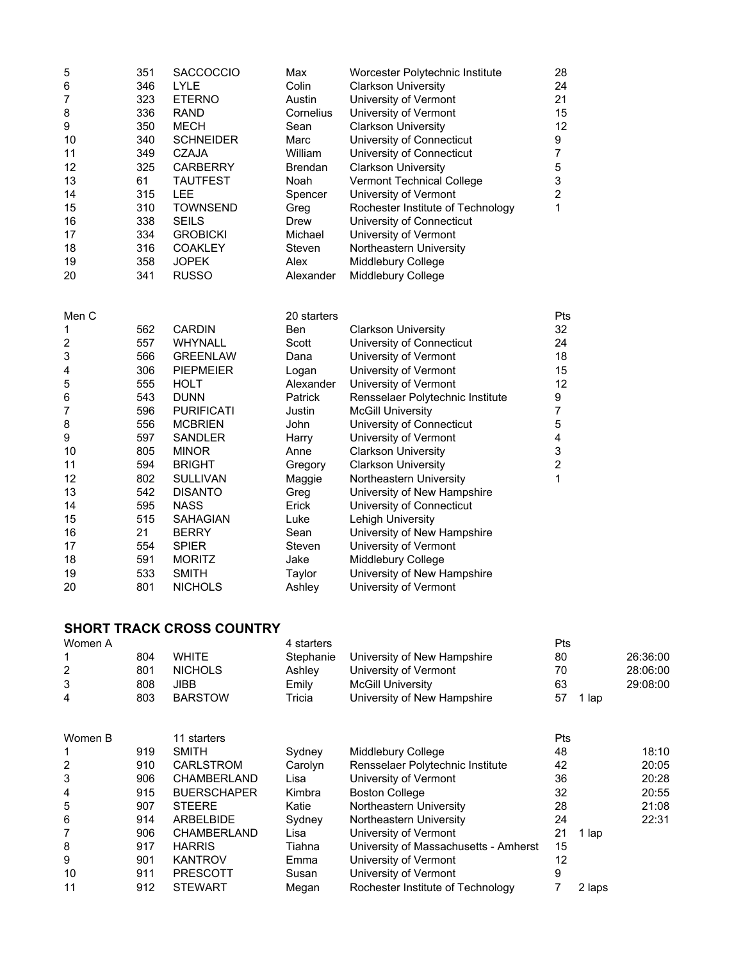| 5<br>6<br>7<br>8<br>9<br>10<br>11<br>12<br>13<br>14<br>15<br>16<br>17<br>18                                          | 351<br>346<br>323<br>336<br>350<br>340<br>349<br>325<br>61<br>315<br>310<br>338<br>334<br>316                                           | <b>SACCOCCIO</b><br>LYLE<br><b>ETERNO</b><br><b>RAND</b><br><b>MECH</b><br><b>SCHNEIDER</b><br><b>CZAJA</b><br><b>CARBERRY</b><br><b>TAUTFEST</b><br>LEE<br><b>TOWNSEND</b><br><b>SEILS</b><br><b>GROBICKI</b><br><b>COAKLEY</b>                                                                                                           | Max<br>Colin<br>Austin<br>Cornelius<br>Sean<br>Marc<br>William<br><b>Brendan</b><br>Noah<br>Spencer<br>Greg<br>Drew<br>Michael<br>Steven                                                                   | Worcester Polytechnic Institute<br><b>Clarkson University</b><br>University of Vermont<br>University of Vermont<br><b>Clarkson University</b><br>University of Connecticut<br>University of Connecticut<br><b>Clarkson University</b><br>Vermont Technical College<br>University of Vermont<br>Rochester Institute of Technology<br>University of Connecticut<br>University of Vermont<br>Northeastern University                                                                                                                                                      | 28<br>24<br>21<br>15<br>12<br>9<br>$\overline{7}$<br>5<br>3<br>$\boldsymbol{2}$<br>1           |       |          |
|----------------------------------------------------------------------------------------------------------------------|-----------------------------------------------------------------------------------------------------------------------------------------|--------------------------------------------------------------------------------------------------------------------------------------------------------------------------------------------------------------------------------------------------------------------------------------------------------------------------------------------|------------------------------------------------------------------------------------------------------------------------------------------------------------------------------------------------------------|------------------------------------------------------------------------------------------------------------------------------------------------------------------------------------------------------------------------------------------------------------------------------------------------------------------------------------------------------------------------------------------------------------------------------------------------------------------------------------------------------------------------------------------------------------------------|------------------------------------------------------------------------------------------------|-------|----------|
| 19<br>20                                                                                                             | 358<br>341                                                                                                                              | <b>JOPEK</b><br><b>RUSSO</b>                                                                                                                                                                                                                                                                                                               | Alex<br>Alexander                                                                                                                                                                                          | Middlebury College<br>Middlebury College                                                                                                                                                                                                                                                                                                                                                                                                                                                                                                                               |                                                                                                |       |          |
| Men C<br>1<br>2<br>3<br>4<br>5<br>6<br>7<br>8<br>9<br>10<br>11<br>12<br>13<br>14<br>15<br>16<br>17<br>18<br>19<br>20 | 562<br>557<br>566<br>306<br>555<br>543<br>596<br>556<br>597<br>805<br>594<br>802<br>542<br>595<br>515<br>21<br>554<br>591<br>533<br>801 | <b>CARDIN</b><br>WHYNALL<br><b>GREENLAW</b><br><b>PIEPMEIER</b><br><b>HOLT</b><br><b>DUNN</b><br><b>PURIFICATI</b><br><b>MCBRIEN</b><br>SANDLER<br><b>MINOR</b><br><b>BRIGHT</b><br><b>SULLIVAN</b><br><b>DISANTO</b><br><b>NASS</b><br><b>SAHAGIAN</b><br><b>BERRY</b><br><b>SPIER</b><br><b>MORITZ</b><br><b>SMITH</b><br><b>NICHOLS</b> | 20 starters<br>Ben<br>Scott<br>Dana<br>Logan<br>Alexander<br><b>Patrick</b><br>Justin<br>John<br>Harry<br>Anne<br>Gregory<br>Maggie<br>Greg<br>Erick<br>Luke<br>Sean<br>Steven<br>Jake<br>Taylor<br>Ashley | <b>Clarkson University</b><br>University of Connecticut<br>University of Vermont<br>University of Vermont<br>University of Vermont<br>Rensselaer Polytechnic Institute<br><b>McGill University</b><br>University of Connecticut<br>University of Vermont<br><b>Clarkson University</b><br><b>Clarkson University</b><br>Northeastern University<br>University of New Hampshire<br>University of Connecticut<br>Lehigh University<br>University of New Hampshire<br>University of Vermont<br>Middlebury College<br>University of New Hampshire<br>University of Vermont | Pts<br>32<br>24<br>18<br>15<br>12<br>9<br>$\overline{7}$<br>5<br>4<br>3<br>$\overline{c}$<br>1 |       |          |
|                                                                                                                      |                                                                                                                                         | <b>SHORT TRACK CROSS COUNTRY</b>                                                                                                                                                                                                                                                                                                           |                                                                                                                                                                                                            |                                                                                                                                                                                                                                                                                                                                                                                                                                                                                                                                                                        |                                                                                                |       |          |
| Women A                                                                                                              |                                                                                                                                         |                                                                                                                                                                                                                                                                                                                                            | 4 starters                                                                                                                                                                                                 |                                                                                                                                                                                                                                                                                                                                                                                                                                                                                                                                                                        | Pts                                                                                            |       |          |
| 1                                                                                                                    | 804                                                                                                                                     | <b>WHITE</b>                                                                                                                                                                                                                                                                                                                               | Stephanie                                                                                                                                                                                                  | University of New Hampshire                                                                                                                                                                                                                                                                                                                                                                                                                                                                                                                                            | 80                                                                                             |       | 26:36:00 |
| 2                                                                                                                    | 801                                                                                                                                     | <b>NICHOLS</b>                                                                                                                                                                                                                                                                                                                             | Ashley                                                                                                                                                                                                     | University of Vermont                                                                                                                                                                                                                                                                                                                                                                                                                                                                                                                                                  | 70                                                                                             |       | 28:06:00 |
| 3<br>4                                                                                                               | 808<br>803                                                                                                                              | <b>JIBB</b><br><b>BARSTOW</b>                                                                                                                                                                                                                                                                                                              | Emily<br>Tricia                                                                                                                                                                                            | <b>McGill University</b><br>University of New Hampshire                                                                                                                                                                                                                                                                                                                                                                                                                                                                                                                | 63<br>57                                                                                       | 1 lap | 29:08:00 |
| Women B                                                                                                              |                                                                                                                                         | 11 starters                                                                                                                                                                                                                                                                                                                                |                                                                                                                                                                                                            |                                                                                                                                                                                                                                                                                                                                                                                                                                                                                                                                                                        | Pts                                                                                            |       |          |
| 1                                                                                                                    | 919                                                                                                                                     | <b>SMITH</b>                                                                                                                                                                                                                                                                                                                               | Sydney                                                                                                                                                                                                     | Middlebury College                                                                                                                                                                                                                                                                                                                                                                                                                                                                                                                                                     | 48                                                                                             |       | 18:10    |
| 2                                                                                                                    | 910                                                                                                                                     | CARLSTROM                                                                                                                                                                                                                                                                                                                                  | Carolyn                                                                                                                                                                                                    | Rensselaer Polytechnic Institute                                                                                                                                                                                                                                                                                                                                                                                                                                                                                                                                       | 42                                                                                             |       | 20:05    |
| 3                                                                                                                    | 906                                                                                                                                     | CHAMBERLAND                                                                                                                                                                                                                                                                                                                                | Lisa                                                                                                                                                                                                       | University of Vermont                                                                                                                                                                                                                                                                                                                                                                                                                                                                                                                                                  | 36                                                                                             |       | 20:28    |
| 4                                                                                                                    | 915                                                                                                                                     | <b>BUERSCHAPER</b>                                                                                                                                                                                                                                                                                                                         | Kimbra                                                                                                                                                                                                     | <b>Boston College</b>                                                                                                                                                                                                                                                                                                                                                                                                                                                                                                                                                  | 32                                                                                             |       | 20:55    |
| 5                                                                                                                    | 907                                                                                                                                     | <b>STEERE</b>                                                                                                                                                                                                                                                                                                                              | Katie                                                                                                                                                                                                      | Northeastern University                                                                                                                                                                                                                                                                                                                                                                                                                                                                                                                                                | 28                                                                                             |       | 21:08    |
| 6                                                                                                                    | 914                                                                                                                                     | <b>ARBELBIDE</b>                                                                                                                                                                                                                                                                                                                           | Sydney                                                                                                                                                                                                     | Northeastern University                                                                                                                                                                                                                                                                                                                                                                                                                                                                                                                                                | 24                                                                                             |       | 22:31    |
| 7                                                                                                                    | 906                                                                                                                                     | CHAMBERLAND                                                                                                                                                                                                                                                                                                                                | Lisa                                                                                                                                                                                                       | University of Vermont                                                                                                                                                                                                                                                                                                                                                                                                                                                                                                                                                  | 21                                                                                             | 1 lap |          |
| 8                                                                                                                    | 917                                                                                                                                     | <b>HARRIS</b>                                                                                                                                                                                                                                                                                                                              | Tiahna                                                                                                                                                                                                     | University of Massachusetts - Amherst                                                                                                                                                                                                                                                                                                                                                                                                                                                                                                                                  | 15                                                                                             |       |          |
| 9                                                                                                                    | 901                                                                                                                                     | <b>KANTROV</b>                                                                                                                                                                                                                                                                                                                             | Emma                                                                                                                                                                                                       | University of Vermont                                                                                                                                                                                                                                                                                                                                                                                                                                                                                                                                                  | 12                                                                                             |       |          |

9 901 KANTROV Emma University of Vermont 12 10 911 PRESCOTT Susan University of Vermont 9

11 912 STEWART Megan Rochester Institute of Technology 7 2 laps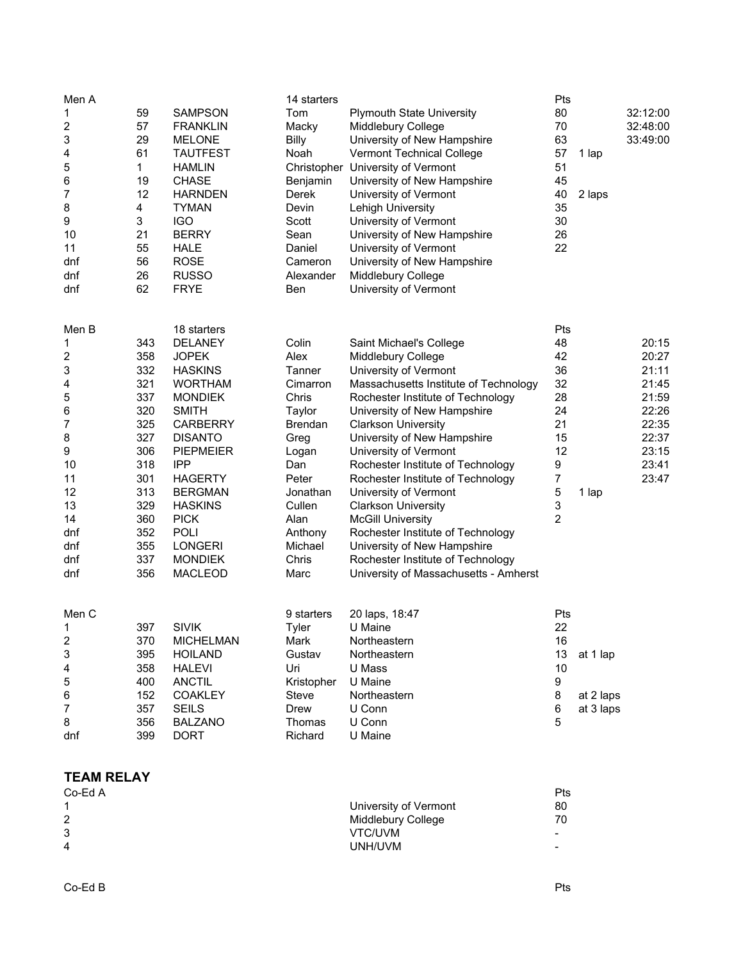| Men A             |     |                  | 14 starters    |                                       | Pts         |           |          |
|-------------------|-----|------------------|----------------|---------------------------------------|-------------|-----------|----------|
| 1                 | 59  | <b>SAMPSON</b>   | Tom            | <b>Plymouth State University</b>      | 80          |           | 32:12:00 |
| 2                 | 57  | <b>FRANKLIN</b>  | Macky          | Middlebury College                    | 70          |           | 32:48:00 |
| 3                 | 29  | <b>MELONE</b>    | <b>Billy</b>   | University of New Hampshire           | 63          |           | 33:49:00 |
| 4                 | 61  | <b>TAUTFEST</b>  | Noah           | Vermont Technical College             | 57          | 1 lap     |          |
| 5                 | 1   | <b>HAMLIN</b>    |                | Christopher University of Vermont     | 51          |           |          |
| 6                 | 19  | <b>CHASE</b>     | Benjamin       | University of New Hampshire           | 45          |           |          |
| 7                 | 12  | <b>HARNDEN</b>   | Derek          | University of Vermont                 | 40          | 2 laps    |          |
| 8                 | 4   | <b>TYMAN</b>     | Devin          | Lehigh University                     | 35          |           |          |
| 9                 | 3   | <b>IGO</b>       | Scott          | University of Vermont                 | 30          |           |          |
| 10                | 21  | <b>BERRY</b>     | Sean           | University of New Hampshire           | 26          |           |          |
| 11                | 55  | <b>HALE</b>      | Daniel         | University of Vermont                 | 22          |           |          |
| dnf               | 56  | <b>ROSE</b>      | Cameron        | University of New Hampshire           |             |           |          |
| dnf               | 26  | <b>RUSSO</b>     | Alexander      | Middlebury College                    |             |           |          |
| dnf               | 62  | <b>FRYE</b>      | Ben            | University of Vermont                 |             |           |          |
| Men B             |     | 18 starters      |                |                                       | Pts         |           |          |
| 1                 | 343 | <b>DELANEY</b>   | Colin          | Saint Michael's College               | 48          |           | 20:15    |
| 2                 | 358 | <b>JOPEK</b>     | Alex           | Middlebury College                    | 42          |           | 20:27    |
| 3                 | 332 | <b>HASKINS</b>   | Tanner         | University of Vermont                 | 36          |           | 21:11    |
| 4                 | 321 | <b>WORTHAM</b>   | Cimarron       | Massachusetts Institute of Technology | 32          |           | 21:45    |
| 5                 | 337 | <b>MONDIEK</b>   | Chris          | Rochester Institute of Technology     | 28          |           | 21:59    |
| 6                 | 320 | <b>SMITH</b>     | Taylor         | University of New Hampshire           | 24          |           | 22:26    |
| 7                 | 325 | <b>CARBERRY</b>  | <b>Brendan</b> | <b>Clarkson University</b>            | 21          |           | 22:35    |
| 8                 | 327 | <b>DISANTO</b>   | Greg           | University of New Hampshire           | 15          |           | 22:37    |
| 9                 | 306 | <b>PIEPMEIER</b> | Logan          | University of Vermont                 | 12          |           | 23:15    |
| 10                | 318 | <b>IPP</b>       | Dan            | Rochester Institute of Technology     | 9           |           | 23:41    |
| 11                | 301 | <b>HAGERTY</b>   | Peter          | Rochester Institute of Technology     | 7           |           | 23:47    |
| 12                | 313 | <b>BERGMAN</b>   | Jonathan       | University of Vermont                 | $\mathbf 5$ | 1 lap     |          |
| 13                | 329 | <b>HASKINS</b>   | Cullen         | <b>Clarkson University</b>            | 3           |           |          |
| 14                | 360 | <b>PICK</b>      | Alan           | <b>McGill University</b>              | 2           |           |          |
| dnf               | 352 | <b>POLI</b>      | Anthony        | Rochester Institute of Technology     |             |           |          |
| dnf               | 355 | <b>LONGERI</b>   | Michael        | University of New Hampshire           |             |           |          |
| dnf               | 337 | <b>MONDIEK</b>   | Chris          | Rochester Institute of Technology     |             |           |          |
| dnf               | 356 | <b>MACLEOD</b>   | Marc           | University of Massachusetts - Amherst |             |           |          |
| Men C             |     |                  | 9 starters     | 20 laps, 18:47                        | Pts         |           |          |
| 1                 | 397 | <b>SIVIK</b>     | Tyler          | U Maine                               | 22          |           |          |
| 2                 | 370 | <b>MICHELMAN</b> | Mark           | Northeastern                          | 16          |           |          |
| 3                 | 395 | <b>HOILAND</b>   | Gustav         | Northeastern                          | 13          | at 1 lap  |          |
| 4                 | 358 | <b>HALEVI</b>    | Uri            | U Mass                                | 10          |           |          |
| 5                 | 400 | <b>ANCTIL</b>    | Kristopher     | U Maine                               | 9           |           |          |
| 6                 | 152 | <b>COAKLEY</b>   | <b>Steve</b>   | Northeastern                          | 8           | at 2 laps |          |
| 7                 | 357 | <b>SEILS</b>     | Drew           | U Conn                                | 6           | at 3 laps |          |
| 8                 | 356 | <b>BALZANO</b>   | Thomas         | U Conn                                | 5           |           |          |
| dnf               | 399 | <b>DORT</b>      | Richard        | U Maine                               |             |           |          |
|                   |     |                  |                |                                       |             |           |          |
| <b>TEAM RELAY</b> |     |                  |                |                                       |             |           |          |

| Co-Ed A        |                       | Pts                      |
|----------------|-----------------------|--------------------------|
|                | University of Vermont | 80                       |
| 2              | Middlebury College    | 70                       |
| 3              | VTC/UVM               | $\overline{\phantom{0}}$ |
| $\overline{4}$ | UNH/UVM               |                          |
|                |                       |                          |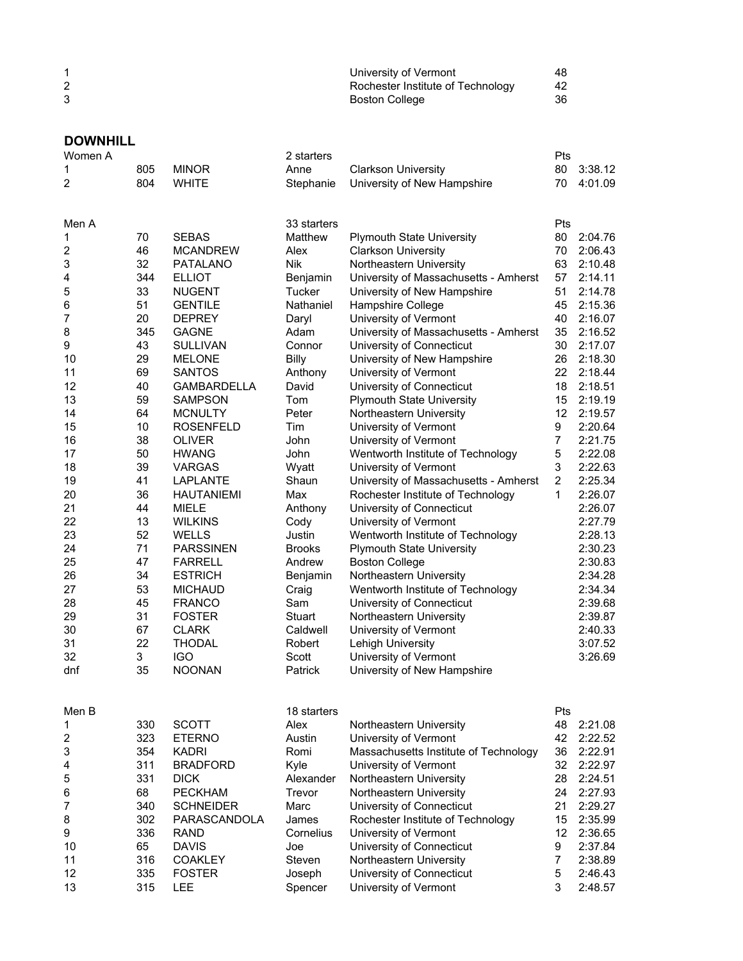| University of Vermont             | 48 |
|-----------------------------------|----|
| Rochester Institute of Technology | 42 |
| <b>Boston College</b>             | 36 |

## **DOWNHILL**<br>Women A

| Women A                 |     |                    | 2 starters    |                                       | Pts            |         |
|-------------------------|-----|--------------------|---------------|---------------------------------------|----------------|---------|
| 1                       | 805 | <b>MINOR</b>       | Anne          | <b>Clarkson University</b>            | 80             | 3:38.12 |
| 2                       | 804 | <b>WHITE</b>       | Stephanie     | University of New Hampshire           | 70             | 4:01.09 |
| Men A                   |     |                    | 33 starters   |                                       | Pts            |         |
| 1                       | 70  | <b>SEBAS</b>       | Matthew       | <b>Plymouth State University</b>      | 80             | 2:04.76 |
| $\overline{\mathbf{c}}$ | 46  | <b>MCANDREW</b>    | Alex          | <b>Clarkson University</b>            | 70             | 2:06.43 |
| 3                       | 32  | <b>PATALANO</b>    | <b>Nik</b>    | Northeastern University               | 63             | 2:10.48 |
| 4                       | 344 | <b>ELLIOT</b>      | Benjamin      | University of Massachusetts - Amherst | 57             | 2:14.11 |
| 5                       | 33  | <b>NUGENT</b>      | Tucker        | University of New Hampshire           | 51             | 2:14.78 |
| 6                       | 51  | <b>GENTILE</b>     | Nathaniel     | Hampshire College                     | 45             | 2:15.36 |
| 7                       | 20  | <b>DEPREY</b>      | Daryl         | University of Vermont                 | 40             | 2:16.07 |
| 8                       | 345 | <b>GAGNE</b>       | Adam          | University of Massachusetts - Amherst | 35             | 2:16.52 |
| 9                       | 43  | <b>SULLIVAN</b>    | Connor        | University of Connecticut             | 30             | 2:17.07 |
| 10                      | 29  | <b>MELONE</b>      | <b>Billy</b>  | University of New Hampshire           | 26             | 2:18.30 |
| 11                      | 69  | <b>SANTOS</b>      | Anthony       | University of Vermont                 | 22             | 2:18.44 |
| 12                      | 40  | <b>GAMBARDELLA</b> | David         | University of Connecticut             | 18             | 2:18.51 |
| 13                      | 59  | <b>SAMPSON</b>     | Tom           | <b>Plymouth State University</b>      | 15             | 2:19.19 |
| 14                      | 64  | <b>MCNULTY</b>     | Peter         | Northeastern University               | 12             | 2:19.57 |
| 15                      | 10  | <b>ROSENFELD</b>   | Tim           | University of Vermont                 | 9              | 2:20.64 |
| 16                      | 38  | <b>OLIVER</b>      | John          | University of Vermont                 | $\overline{7}$ | 2:21.75 |
| 17                      | 50  | <b>HWANG</b>       | John          | Wentworth Institute of Technology     | 5              | 2:22.08 |
| 18                      | 39  | VARGAS             | Wyatt         | University of Vermont                 | 3              | 2:22.63 |
| 19                      | 41  | LAPLANTE           | Shaun         | University of Massachusetts - Amherst | $\overline{2}$ | 2:25.34 |
| 20                      | 36  | <b>HAUTANIEMI</b>  | Max           | Rochester Institute of Technology     | 1              | 2:26.07 |
| 21                      | 44  | <b>MIELE</b>       | Anthony       | University of Connecticut             |                | 2:26.07 |
| 22                      | 13  | <b>WILKINS</b>     | Cody          | University of Vermont                 |                | 2:27.79 |
| 23                      | 52  | <b>WELLS</b>       | Justin        | Wentworth Institute of Technology     |                | 2:28.13 |
| 24                      | 71  | <b>PARSSINEN</b>   | <b>Brooks</b> | <b>Plymouth State University</b>      |                | 2:30.23 |
| 25                      | 47  | <b>FARRELL</b>     | Andrew        | <b>Boston College</b>                 |                | 2:30.83 |
| 26                      | 34  | <b>ESTRICH</b>     | Benjamin      | Northeastern University               |                | 2:34.28 |
| 27                      | 53  | <b>MICHAUD</b>     | Craig         | Wentworth Institute of Technology     |                | 2:34.34 |
| 28                      | 45  | <b>FRANCO</b>      | Sam           | University of Connecticut             |                | 2:39.68 |
| 29                      | 31  | <b>FOSTER</b>      | Stuart        | Northeastern University               |                | 2:39.87 |
| 30                      | 67  | <b>CLARK</b>       | Caldwell      | University of Vermont                 |                | 2:40.33 |
| 31                      | 22  | <b>THODAL</b>      | Robert        | Lehigh University                     |                | 3:07.52 |
| 32                      | 3   | <b>IGO</b>         | Scott         | University of Vermont                 |                | 3:26.69 |
| dnf                     | 35  | <b>NOONAN</b>      | Patrick       | University of New Hampshire           |                |         |
|                         |     |                    |               |                                       |                |         |
| Men B                   |     |                    | 18 starters   |                                       | Pts            |         |
| 1                       | 330 | <b>SCOTT</b>       | Alex          | Northeastern University               | 48             | 2:21.08 |
| $\overline{\mathbf{c}}$ | 323 | <b>ETERNO</b>      | Austin        | University of Vermont                 | 42             | 2:22.52 |
| 3                       | 354 | <b>KADRI</b>       | Romi          | Massachusetts Institute of Technology | 36             | 2:22.91 |
| 4                       | 311 | <b>BRADFORD</b>    | Kyle          | University of Vermont                 | 32             | 2:22.97 |
| 5                       | 331 | <b>DICK</b>        | Alexander     | Northeastern University               | 28             | 2:24.51 |
| 6                       | 68  | <b>PECKHAM</b>     | Trevor        | Northeastern University               | 24             | 2:27.93 |
| 7                       | 340 | <b>SCHNEIDER</b>   | Marc          | University of Connecticut             | 21             | 2:29.27 |
| 8                       | 302 | PARASCANDOLA       | James         | Rochester Institute of Technology     | 15             | 2:35.99 |
| 9                       | 336 | <b>RAND</b>        | Cornelius     | University of Vermont                 | 12             | 2:36.65 |
| 10                      | 65  | <b>DAVIS</b>       | Joe           | University of Connecticut             | 9              | 2:37.84 |
| 11                      | 316 | COAKLEY            | Steven        | Northeastern University               | $\overline{7}$ | 2:38.89 |
| 12                      | 335 | <b>FOSTER</b>      | Joseph        | University of Connecticut             | 5              | 2:46.43 |
| 13                      | 315 | LEE                | Spencer       | University of Vermont                 | 3              | 2:48.57 |